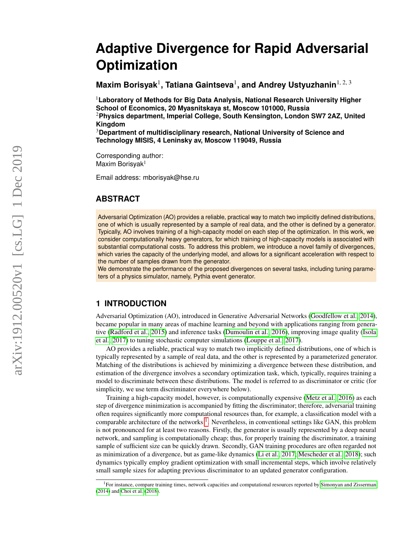# **Adaptive Divergence for Rapid Adversarial Optimization**

**Maxim Borisyak**<sup>1</sup> **, Tatiana Gaintseva**<sup>1</sup> **, and Andrey Ustyuzhanin**1, 2, 3

<sup>1</sup>**Laboratory of Methods for Big Data Analysis, National Research University Higher School of Economics, 20 Myasnitskaya st, Moscow 101000, Russia** <sup>2</sup>**Physics department, Imperial College, South Kensington, London SW7 2AZ, United Kingdom**

<sup>3</sup>**Department of multidisciplinary research, National University of Science and Technology MISIS, 4 Leninsky av, Moscow 119049, Russia**

Corresponding author: Maxim Borisyak<sup>1</sup>

Email address: mborisyak@hse.ru

# **ABSTRACT**

Adversarial Optimization (AO) provides a reliable, practical way to match two implicitly defined distributions, one of which is usually represented by a sample of real data, and the other is defined by a generator. Typically, AO involves training of a high-capacity model on each step of the optimization. In this work, we consider computationally heavy generators, for which training of high-capacity models is associated with substantial computational costs. To address this problem, we introduce a novel family of divergences, which varies the capacity of the underlying model, and allows for a significant acceleration with respect to the number of samples drawn from the generator.

We demonstrate the performance of the proposed divergences on several tasks, including tuning parameters of a physics simulator, namely, Pythia event generator.

## **1 INTRODUCTION**

Adversarial Optimization (AO), introduced in Generative Adversarial Networks [\(Goodfellow et al., 2014\)](#page-13-0), became popular in many areas of machine learning and beyond with applications ranging from generative [\(Radford et al., 2015\)](#page-13-1) and inference tasks [\(Dumoulin et al., 2016\)](#page-13-2), improving image quality [\(Isola](#page-13-3) [et al., 2017\)](#page-13-3) to tuning stochastic computer simulations [\(Louppe et al., 2017\)](#page-13-4).

AO provides a reliable, practical way to match two implicitly defined distributions, one of which is typically represented by a sample of real data, and the other is represented by a parameterized generator. Matching of the distributions is achieved by minimizing a divergence between these distribution, and estimation of the divergence involves a secondary optimization task, which, typically, requires training a model to discriminate between these distributions. The model is referred to as discriminator or critic (for simplicity, we use term discriminator everywhere below).

Training a high-capacity model, however, is computationally expensive [\(Metz et al., 2016\)](#page-13-5) as each step of divergence minimization is accompanied by fitting the discriminator; therefore, adversarial training often requires significantly more computational resources than, for example, a classification model with a comparable architecture of the networks <sup>[1](#page-0-0)</sup>. Nevertheless, in conventional settings like GAN, this problem is not pronounced for at least two reasons. Firstly, the generator is usually represented by a deep neural network, and sampling is computationally cheap; thus, for properly training the discriminator, a training sample of sufficient size can be quickly drawn. Secondly, GAN training procedures are often regarded not as minimization of a divergence, but as game-like dynamics [\(Li et al., 2017;](#page-13-6) [Mescheder et al., 2018\)](#page-13-7); such dynamics typically employ gradient optimization with small incremental steps, which involve relatively small sample sizes for adapting previous discriminator to an updated generator configuration.

<span id="page-0-0"></span><sup>&</sup>lt;sup>1</sup>For instance, compare training times, network capacities and computational resources reported by [Simonyan and Zisserman](#page-14-0) [\(2014\)](#page-14-0) and [Choi et al.](#page-13-8) [\(2018\)](#page-13-8).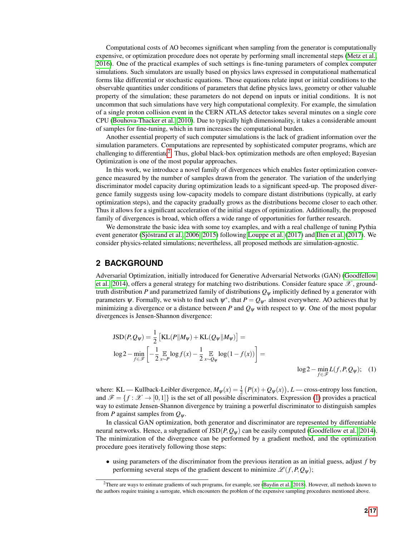Computational costs of AO becomes significant when sampling from the generator is computationally expensive, or optimization procedure does not operate by performing small incremental steps [\(Metz et al.,](#page-13-5) [2016\)](#page-13-5). One of the practical examples of such settings is fine-tuning parameters of complex computer simulations. Such simulators are usually based on physics laws expressed in computational mathematical forms like differential or stochastic equations. Those equations relate input or initial conditions to the observable quantities under conditions of parameters that define physics laws, geometry or other valuable property of the simulation; these parameters do not depend on inputs or initial conditions. It is not uncommon that such simulations have very high computational complexity. For example, the simulation of a single proton collision event in the CERN ATLAS detector takes several minutes on a single core CPU [\(Bouhova-Thacker et al., 2010\)](#page-13-9). Due to typically high dimensionality, it takes a considerable amount of samples for fine-tuning, which in turn increases the computational burden.

Another essential property of such computer simulations is the lack of gradient information over the simulation parameters. Computations are represented by sophisticated computer programs, which are challenging to differentiate<sup>[2](#page-1-0)</sup>. Thus, global black-box optimization methods are often employed; Bayesian Optimization is one of the most popular approaches.

In this work, we introduce a novel family of divergences which enables faster optimization convergence measured by the number of samples drawn from the generator. The variation of the underlying discriminator model capacity during optimization leads to a significant speed-up. The proposed divergence family suggests using low-capacity models to compare distant distributions (typically, at early optimization steps), and the capacity gradually grows as the distributions become closer to each other. Thus it allows for a significant acceleration of the initial stages of optimization. Additionally, the proposed family of divergences is broad, which offers a wide range of opportunities for further research.

We demonstrate the basic idea with some toy examples, and with a real challenge of tuning Pythia event generator (Sjöstrand et al., 2006, [2015\)](#page-14-2) following [Louppe et al.](#page-13-4) [\(2017\)](#page-13-10) and [Ilten et al.](#page-13-10) (2017). We consider physics-related simulations; nevertheless, all proposed methods are simulation-agnostic.

## **2 BACKGROUND**

Adversarial Optimization, initially introduced for Generative Adversarial Networks (GAN) [\(Goodfellow](#page-13-0) [et al., 2014\)](#page-13-0), offers a general strategy for matching two distributions. Consider feature space  $\mathscr{X}$ , groundtruth distribution *P* and parametrized family of distributions *Q*<sup>ψ</sup> implicitly defined by a generator with parameters  $\psi$ . Formally, we wish to find such  $\psi^*$ , that  $P = Q_{\psi^*}$  almost everywhere. AO achieves that by minimizing a divergence or a distance between *P* and  $Q_{\psi}$  with respect to  $\psi$ . One of the most popular divergences is Jensen-Shannon divergence:

<span id="page-1-1"></span>
$$
JSD(P, Q_{\psi}) = \frac{1}{2} \left[ KL(P||M_{\psi}) + KL(Q_{\psi}||M_{\psi}) \right] =
$$
  
\n
$$
\log 2 - \min_{f \in \mathcal{F}} \left[ -\frac{1}{2} \mathop{\mathbb{E}}_{x \sim P} \log f(x) - \frac{1}{2} \mathop{\mathbb{E}}_{x \sim Q_{\psi}} \log(1 - f(x)) \right] =
$$
  
\n
$$
\log 2 - \min_{f \in \mathcal{F}} L(f, P, Q_{\psi}); \quad (1)
$$

where: KL — Kullback-Leibler divergence,  $M_{\psi}(x) = \frac{1}{2} (P(x) + Q_{\psi}(x))$ , *L* — cross-entropy loss function, and  $\mathcal{F} = \{f : \mathcal{X} \to [0,1]\}$  is the set of all possible discriminators. Expression [\(1\)](#page-1-1) provides a practical way to estimate Jensen-Shannon divergence by training a powerful discriminator to distinguish samples from *P* against samples from *Q*ψ.

In classical GAN optimization, both generator and discriminator are represented by differentiable neural networks. Hence, a subgradient of  $JSD(P, Q_\psi)$  can be easily computed [\(Goodfellow et al., 2014\)](#page-13-0). The minimization of the divergence can be performed by a gradient method, and the optimization procedure goes iteratively following those steps:

• using parameters of the discriminator from the previous iteration as an initial guess, adjust *f* by performing several steps of the gradient descent to minimize  $\mathcal{L}(f, P, Q_{\psi})$ ;

<span id="page-1-0"></span> ${}^{2}$ There are ways to estimate gradients of such programs, for example, see [\(Baydin et al., 2018\)](#page-13-11). However, all methods known to the authors require training a surrogate, which encounters the problem of the expensive sampling procedures mentioned above.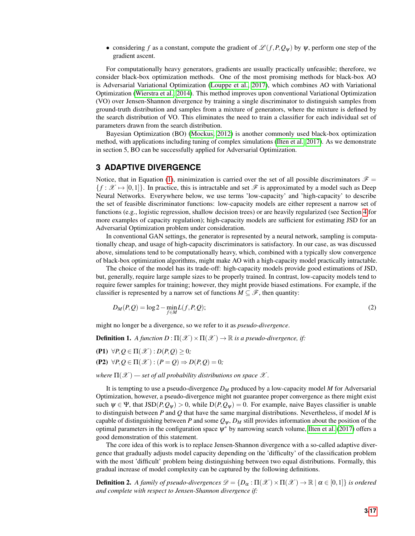• considering f as a constant, compute the gradient of  $\mathcal{L}(f, P, Q_w)$  by  $\psi$ , perform one step of the gradient ascent.

For computationally heavy generators, gradients are usually practically unfeasible; therefore, we consider black-box optimization methods. One of the most promising methods for black-box AO is Adversarial Variational Optimization [\(Louppe et al., 2017\)](#page-13-4), which combines AO with Variational Optimization [\(Wierstra et al., 2014\)](#page-14-3). This method improves upon conventional Variational Optimization (VO) over Jensen-Shannon divergence by training a single discriminator to distinguish samples from ground-truth distribution and samples from a mixture of generators, where the mixture is defined by the search distribution of VO. This eliminates the need to train a classifier for each individual set of parameters drawn from the search distribution.

Bayesian Optimization (BO) [\(Mockus, 2012\)](#page-13-12) is another commonly used black-box optimization method, with applications including tuning of complex simulations [\(Ilten et al., 2017\)](#page-13-10). As we demonstrate in section 5, BO can be successfully applied for Adversarial Optimization.

## **3 ADAPTIVE DIVERGENCE**

Notice, that in Equation [\(1\)](#page-1-1), minimization is carried over the set of all possible discriminators  $\mathscr{F}$  =  ${f : \mathcal{X} \rightarrow [0,1]}$ . In practice, this is intractable and set  $\mathcal{F}$  is approximated by a model such as Deep Neural Networks. Everywhere below, we use terms 'low-capacity' and 'high-capacity' to describe the set of feasible discriminator functions: low-capacity models are either represent a narrow set of functions (e.g., logistic regression, shallow decision trees) or are heavily regularized (see Section [4](#page-4-0) for more examples of capacity regulation); high-capacity models are sufficient for estimating JSD for an Adversarial Optimization problem under consideration.

In conventional GAN settings, the generator is represented by a neural network, sampling is computationally cheap, and usage of high-capacity discriminators is satisfactory. In our case, as was discussed above, simulations tend to be computationally heavy, which, combined with a typically slow convergence of black-box optimization algorithms, might make AO with a high-capacity model practically intractable.

The choice of the model has its trade-off: high-capacity models provide good estimations of JSD, but, generally, require large sample sizes to be properly trained. In contrast, low-capacity models tend to require fewer samples for training; however, they might provide biased estimations. For example, if the classifier is represented by a narrow set of functions  $M \subseteq \mathscr{F}$ , then quantity:

<span id="page-2-0"></span>
$$
D_M(P,Q) = \log 2 - \min_{f \in M} L(f,P,Q); \tag{2}
$$

might no longer be a divergence, so we refer to it as *pseudo-divergence*.

**Definition 1.** *A function D* :  $\Pi(\mathscr{X}) \times \Pi(\mathscr{X}) \to \mathbb{R}$  *is a pseudo-divergence, if:* 

<span id="page-2-2"></span> $(P1)$   $\forall P, Q \in \Pi(\mathcal{X}) : D(P, Q) > 0;$ 

 $(P2)$   $\forall P, Q \in \Pi(\mathcal{X}) : (P = Q) \Rightarrow D(P, Q) = 0;$ 

*where*  $\Pi(\mathcal{X})$  — set of all probability distributions on space  $\mathcal{X}$ .

It is tempting to use a pseudo-divergence *D<sup>M</sup>* produced by a low-capacity model *M* for Adversarial Optimization, however, a pseudo-divergence might not guarantee proper convergence as there might exist such  $\psi \in \Psi$ , that  $\text{JSD}(P, Q_\psi) > 0$ , while  $\text{D}(P, Q_\psi) = 0$ . For example, naive Bayes classifier is unable to distinguish between *P* and *Q* that have the same marginal distributions. Nevertheless, if model *M* is capable of distinguishing between *P* and some  $Q_{\psi}$ ,  $D_M$  still provides information about the position of the optimal parameters in the configuration space  $\psi^*$  by narrowing search volume, [Ilten et al.](#page-13-10) [\(2017\)](#page-13-10) offers a good demonstration of this statement.

The core idea of this work is to replace Jensen-Shannon divergence with a so-called adaptive divergence that gradually adjusts model capacity depending on the 'difficulty' of the classification problem with the most 'difficult' problem being distinguishing between two equal distributions. Formally, this gradual increase of model complexity can be captured by the following definitions.

<span id="page-2-1"></span>**Definition 2.** A family of pseudo-divergences  $\mathcal{D} = \{D_{\alpha} : \Pi(\mathcal{X}) \times \Pi(\mathcal{X}) \to \mathbb{R} \mid \alpha \in [0,1]\}$  is ordered *and complete with respect to Jensen-Shannon divergence if:*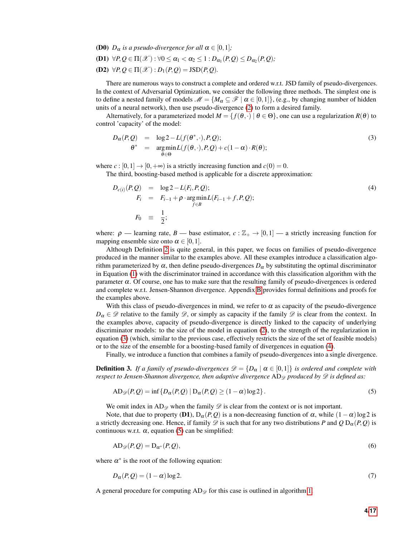- <span id="page-3-5"></span>**(D0)**  $D_{\alpha}$  *is a pseudo-divergence for all*  $\alpha \in [0,1]$ *;*
- <span id="page-3-4"></span> $($ **D1** $)$   $\forall P,Q \in \Pi(\mathscr{X}) : \forall 0 \leq \alpha_1 < \alpha_2 \leq 1 : D_{\alpha_1}(P,Q) \leq D_{\alpha_2}(P,Q);$
- <span id="page-3-3"></span> $(D2) \ \forall P, Q \in \Pi(\mathcal{X}) : D_1(P, Q) = \text{JSD}(P, Q).$

There are numerous ways to construct a complete and ordered w.r.t. JSD family of pseudo-divergences. In the context of Adversarial Optimization, we consider the following three methods. The simplest one is to define a nested family of models  $\mathcal{M} = \{M_\alpha \subseteq \mathcal{F} \mid \alpha \in [0,1]\},$  (e.g., by changing number of hidden units of a neural network), then use pseudo-divergence [\(2\)](#page-2-0) to form a desired family.

Alternatively, for a parameterized model  $M = \{f(\theta, \cdot) | \theta \in \Theta\}$ , one can use a regularization  $R(\theta)$  to control 'capacity' of the model:

<span id="page-3-0"></span>
$$
D_{\alpha}(P,Q) = \log 2 - L(f(\theta^*, \cdot), P, Q);
$$
  
\n
$$
\theta^* = \underset{\theta \in \Theta}{\arg \min} L(f(\theta, \cdot), P, Q) + c(1 - \alpha) \cdot R(\theta);
$$
\n(3)

where  $c : [0,1] \rightarrow [0,+\infty)$  is a strictly increasing function and  $c(0) = 0$ .

The third, boosting-based method is applicable for a discrete approximation:

<span id="page-3-1"></span>
$$
D_{c(i)}(P,Q) = \log 2 - L(F_i, P,Q);
$$
  
\n
$$
F_i = F_{i-1} + \rho \cdot \underset{f \in B}{\text{arg min}} L(F_{i-1} + f, P, Q);
$$
  
\n
$$
F_0 \equiv \frac{1}{2};
$$
\n(4)

where:  $\rho$  — learning rate, *B* — base estimator,  $c : \mathbb{Z}_+ \to [0,1]$  — a strictly increasing function for mapping ensemble size onto  $\alpha \in [0,1]$ .

Although Definition [2](#page-2-1) is quite general, in this paper, we focus on families of pseudo-divergence produced in the manner similar to the examples above. All these examples introduce a classification algorithm parameterized by  $\alpha$ , then define pseudo-divergences  $D_{\alpha}$  by substituting the optimal discriminator in Equation [\(1\)](#page-1-1) with the discriminator trained in accordance with this classification algorithm with the parameter  $\alpha$ . Of course, one has to make sure that the resulting family of pseudo-divergences is ordered and complete w.r.t. Jensen-Shannon divergence. Appendix [B](#page-15-0) provides formal definitions and proofs for the examples above.

With this class of pseudo-divergences in mind, we refer to  $\alpha$  as capacity of the pseudo-divergence  $D_{\alpha} \in \mathcal{D}$  relative to the family  $\mathcal{D}$ , or simply as capacity if the family  $\mathcal{D}$  is clear from the context. In the examples above, capacity of pseudo-divergence is directly linked to the capacity of underlying discriminator models: to the size of the model in equation [\(2\)](#page-2-0), to the strength of the regularization in equation [\(3\)](#page-3-0) (which, similar to the previous case, effectively restricts the size of the set of feasible models) or to the size of the ensemble for a boosting-based family of divergences in equation [\(4\)](#page-3-1).

Finally, we introduce a function that combines a family of pseudo-divergences into a single divergence.

**Definition 3.** If a family of pseudo-divergences  $\mathscr{D} = \{D_{\alpha} \mid \alpha \in [0,1]\}$  is ordered and complete with *respect to Jensen-Shannon divergence, then adaptive divergence*  $AD_{\mathscr{D}}$  *produced by*  $\mathscr{D}$  *is defined as:* 

<span id="page-3-2"></span>
$$
AD_{\mathscr{D}}(P,Q) = \inf \{ D_{\alpha}(P,Q) \mid D_{\alpha}(P,Q) \ge (1-\alpha)\log 2 \}.
$$
 (5)

We omit index in AD<sub> $\circ$ </sub> when the family  $\circ$  is clear from the context or is not important.

Note, that due to property (D1),  $D_{\alpha}(P,Q)$  is a non-decreasing function of  $\alpha$ , while  $(1-\alpha)\log 2$  is a strictly decreasing one. Hence, if family  $\mathscr D$  is such that for any two distributions *P* and  $Q D_{\alpha}(P,Q)$  is continuous w.r.t.  $\alpha$ , equation [\(5\)](#page-3-2) can be simplified:

$$
AD_{\mathscr{D}}(P,Q) = D_{\alpha^*}(P,Q),\tag{6}
$$

where  $\alpha^*$  is the root of the following equation:

$$
D_{\alpha}(P,Q) = (1 - \alpha)\log 2. \tag{7}
$$

A general procedure for computing  $AD_{\mathscr{D}}$  for this case is outlined in algorithm [1.](#page-4-1)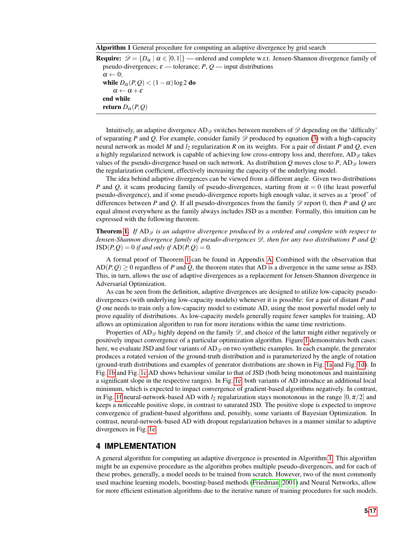#### <span id="page-4-1"></span>Algorithm 1 General procedure for computing an adaptive divergence by grid search

**Require:**  $\mathcal{D} = \{D_{\alpha} \mid \alpha \in [0,1]\}$  — ordered and complete w.r.t. Jensen-Shannon divergence family of pseudo-divergences;  $\varepsilon$  — tolerance;  $P, Q$  — input distributions  $\alpha \leftarrow 0;$ while  $D_{\alpha}(P,Q) < (1-\alpha)\log 2$  do  $\alpha \leftarrow \alpha + \varepsilon$ end while return  $D_{\alpha}(P,Q)$ 

Intuitively, an adaptive divergence  $AD_{\emptyset}$  switches between members of  $\mathscr{D}$  depending on the 'difficulty' of separating *P* and *Q*. For example, consider family  $\mathscr{D}$  produced by equation [\(3\)](#page-3-0) with a high-capacity neural network as model *M* and *l*<sup>2</sup> regularization *R* on its weights. For a pair of distant *P* and *Q*, even a highly regularized network is capable of achieving low cross-entropy loss and, therefore,  $AD_{\mathscr{D}}$  takes values of the pseudo-divergence based on such network. As distribution *Q* moves close to *P*, AD<sub> $\mathscr{D}$  lowers</sub> the regularization coefficient, effectively increasing the capacity of the underlying model.

The idea behind adaptive divergences can be viewed from a different angle. Given two distributions *P* and *Q*, it scans producing family of pseudo-divergences, starting from  $\alpha = 0$  (the least powerful pseudo-divergence), and if some pseudo-divergence reports high enough value, it serves as a 'proof' of differences between *P* and *Q*. If all pseudo-divergences from the family  $\mathscr D$  report 0, then *P* and *Q* are equal almost everywhere as the family always includes JSD as a member. Formally, this intuition can be expressed with the following theorem.

**Theorem [1.](#page-14-4)** If  $AD_{\mathcal{D}}$  is an adaptive divergence produced by a ordered and complete with respect to *Jensen-Shannon divergence family of pseudo-divergences* D*, then for any two distributions P and Q:*  $JSD(P, Q) = 0$  *if and only if*  $AD(P, Q) = 0$ *.* 

A formal proof of Theorem [1](#page-14-4) can be found in Appendix [A.](#page-14-5) Combined with the observation that  $AD(P, Q) \geq 0$  regardless of *P* and *Q*, the theorem states that AD is a divergence in the same sense as JSD. This, in turn, allows the use of adaptive divergences as a replacement for Jensen-Shannon divergence in Adversarial Optimization.

As can be seen from the definition, adaptive divergences are designed to utilize low-capacity pseudodivergences (with underlying low-capacity models) whenever it is possible: for a pair of distant *P* and *Q* one needs to train only a low-capacity model to estimate AD, using the most powerful model only to prove equality of distributions. As low-capacity models generally require fewer samples for training, AD allows an optimization algorithm to run for more iterations within the same time restrictions.

Properties of AD<sub> $\alpha$ </sub> highly depend on the family  $\mathscr{D}$ , and choice of the latter might either negatively or positively impact convergence of a particular optimization algorithm. Figure [1](#page-5-0) demonstrates both cases: here, we evaluate JSD and four variants of  $AD_{\mathscr{D}}$  on two synthetic examples. In each example, the generator produces a rotated version of the ground-truth distribution and is parameterized by the angle of rotation (ground-truth distributions and examples of generator distributions are shown in Fig. [1a](#page-5-0) and Fig. [1d\)](#page-5-0). In Fig. [1b](#page-5-0) and Fig. [1c](#page-5-0) AD shows behaviour similar to that of JSD (both being monotonous and maintaining a significant slope in the respective ranges). In Fig. [1e,](#page-5-0) both variants of AD introduce an additional local minimum, which is expected to impact convergence of gradient-based algorithms negatively. In contrast, in Fig. [1f](#page-5-0) neural-network-based AD with  $l_2$  regularization stays monotonous in the range  $[0, \pi/2]$  and keeps a noticeable positive slope, in contrast to saturated JSD. The positive slope is expected to improve convergence of gradient-based algorithms and, possibly, some variants of Bayesian Optimization. In contrast, neural-network-based AD with dropout regularization behaves in a manner similar to adaptive divergences in Fig. [1e.](#page-5-0)

## <span id="page-4-0"></span>**4 IMPLEMENTATION**

A general algorithm for computing an adaptive divergence is presented in Algorithm [1.](#page-4-1) This algorithm might be an expensive procedure as the algorithm probes multiple pseudo-divergences, and for each of these probes, generally, a model needs to be trained from scratch. However, two of the most commonly used machine learning models, boosting-based methods [\(Friedman, 2001\)](#page-13-13) and Neural Networks, allow for more efficient estimation algorithms due to the iterative nature of training procedures for such models.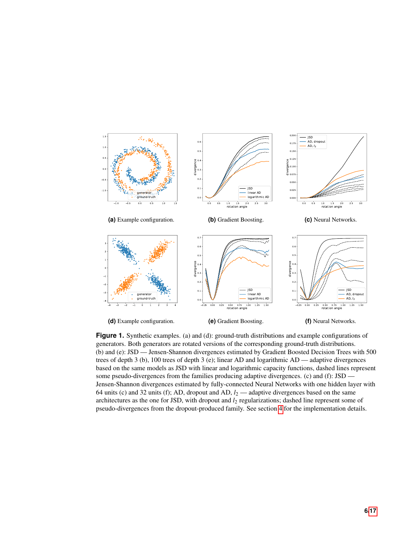<span id="page-5-0"></span>

**Figure 1.** Synthetic examples. (a) and (d): ground-truth distributions and example configurations of generators. Both generators are rotated versions of the corresponding ground-truth distributions. (b) and (e): JSD — Jensen-Shannon divergences estimated by Gradient Boosted Decision Trees with 500 trees of depth 3 (b), 100 trees of depth 3 (e); linear AD and logarithmic AD — adaptive divergences based on the same models as JSD with linear and logarithmic capacity functions, dashed lines represent some pseudo-divergences from the families producing adaptive divergences. (c) and (f): JSD — Jensen-Shannon divergences estimated by fully-connected Neural Networks with one hidden layer with 64 units (c) and 32 units (f); AD, dropout and AD, *l*<sup>2</sup> — adaptive divergences based on the same architectures as the one for JSD, with dropout and *l*<sup>2</sup> regularizations; dashed line represent some of pseudo-divergences from the dropout-produced family. See section [4](#page-4-0) for the implementation details.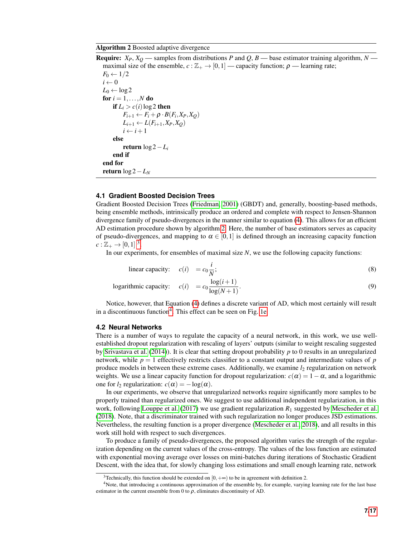#### <span id="page-6-0"></span>Algorithm 2 Boosted adaptive divergence

**Require:**  $X_P$ ,  $X_Q$  — samples from distributions *P* and *Q*, *B* — base estimator training algorithm, *N* maximal size of the ensemble,  $c : \mathbb{Z}_+ \to [0,1]$  — capacity function;  $\rho$  — learning rate;  $F_0 \leftarrow 1/2$  $i \leftarrow 0$  $L_0 \leftarrow \log 2$ for  $i = 1, \ldots, N$  do if  $L_i > c(i) \log 2$  then  $F_{i+1} \leftarrow F_i + \rho \cdot B(F_i, X_P, X_Q)$  $L_{i+1} \leftarrow L(F_{i+1}, X_P, X_Q)$  $i \leftarrow i+1$ else return log 2−*L<sup>i</sup>* end if end for return log 2−*L<sup>N</sup>*

#### **4.1 Gradient Boosted Decision Trees**

Gradient Boosted Decision Trees [\(Friedman, 2001\)](#page-13-13) (GBDT) and, generally, boosting-based methods, being ensemble methods, intrinsically produce an ordered and complete with respect to Jensen-Shannon divergence family of pseudo-divergences in the manner similar to equation [\(4\)](#page-3-1). This allows for an efficient AD estimation procedure shown by algorithm [2.](#page-6-0) Here, the number of base estimators serves as capacity of pseudo-divergences, and mapping to  $\alpha \in [0,1]$  is defined through an increasing capacity function  $c: \mathbb{Z}_+ \to [0,1]$ <sup>[3](#page-6-1)</sup>.

In our experiments, for ensembles of maximal size *N*, we use the following capacity functions:

<span id="page-6-3"></span>linear capacity: 
$$
c(i) = c_0 \frac{i}{N}
$$
; (8)

logarithmic capacity: 
$$
c(i) = c_0 \frac{\log(i+1)}{\log(N+1)}
$$
. (9)

Notice, however, that Equation [\(4\)](#page-3-1) defines a discrete variant of AD, which most certainly will result in a discontinuous function<sup>[4](#page-6-2)</sup>. This effect can be seen on Fig. [1e.](#page-5-0)

#### **4.2 Neural Networks**

There is a number of ways to regulate the capacity of a neural network, in this work, we use wellestablished dropout regularization with rescaling of layers' outputs (similar to weight rescaling suggested by [Srivastava et al.](#page-14-6) [\(2014\)](#page-14-6)). It is clear that setting dropout probability *p* to 0 results in an unregularized network, while  $p = 1$  effectively restricts classifier to a constant output and intermediate values of  $p$ produce models in between these extreme cases. Additionally, we examine *l*<sup>2</sup> regularization on network weights. We use a linear capacity function for dropout regularization:  $c(\alpha) = 1 - \alpha$ , and a logarithmic one for  $l_2$  regularization:  $c(\alpha) = -\log(\alpha)$ .

In our experiments, we observe that unregularized networks require significantly more samples to be properly trained than regularized ones. We suggest to use additional independent regularization, in this work, following [Louppe et al.](#page-13-4) [\(2017\)](#page-13-4) we use gradient regularization *R*<sup>1</sup> suggested by [Mescheder et al.](#page-13-7) [\(2018\)](#page-13-7). Note, that a discriminator trained with such regularization no longer produces JSD estimations. Nevertheless, the resulting function is a proper divergence [\(Mescheder et al., 2018\)](#page-13-7), and all results in this work still hold with respect to such divergences.

To produce a family of pseudo-divergences, the proposed algorithm varies the strength of the regularization depending on the current values of the cross-entropy. The values of the loss function are estimated with exponential moving average over losses on mini-batches during iterations of Stochastic Gradient Descent, with the idea that, for slowly changing loss estimations and small enough learning rate, network

<span id="page-6-2"></span><span id="page-6-1"></span><sup>&</sup>lt;sup>3</sup>Technically, this function should be extended on [0, + $\infty$ ) to be in agreement with definition 2.

<sup>&</sup>lt;sup>4</sup>Note, that introducing a continuous approximation of the ensemble by, for example, varying learning rate for the last base estimator in the current ensemble from 0 to  $\rho$ , eliminates discontinuity of AD.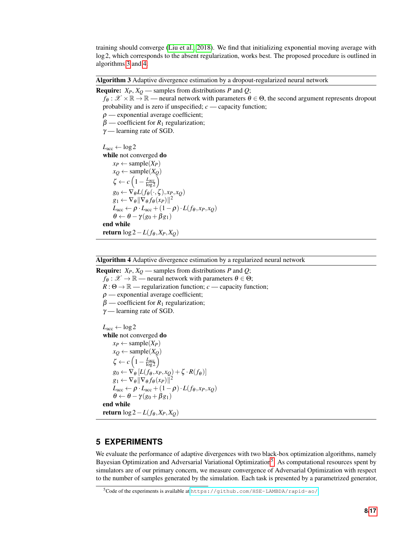training should converge [\(Liu et al., 2018\)](#page-13-14). We find that initializing exponential moving average with log 2, which corresponds to the absent regularization, works best. The proposed procedure is outlined in algorithms [3](#page-7-0) and [4.](#page-7-1)

<span id="page-7-0"></span>Algorithm 3 Adaptive divergence estimation by a dropout-regularized neural network

```
Require: X_P, X_Q — samples from distributions P and Q;
```

```
f_{\theta}: \mathcal{X} \times \mathbb{R} \to \mathbb{R} — neural network with parameters \theta \in \Theta, the second argument represents dropout
probability and is zero if unspecified; c — capacity function;
\rho — exponential average coefficient;
\beta — coefficient for R_1 regularization;
\gamma — learning rate of SGD.
L_{\text{acc}} \leftarrow \log 2while not converged do
     x_P \leftarrow sample(X<sub>P</sub>)
     x_Q \leftarrow sample(X_Q)
      \zeta \leftarrow c \left(1 - \frac{L_{\text{acc}}}{\log 2}\right)g_0 \leftarrow \nabla_{\theta} L(f_{\theta}(\cdot,\zeta), x_P, x_Q)g_1 \leftarrow \nabla_{\theta} || \nabla_{\theta} f_{\theta}(x_P) ||^2L_{\text{acc}} \leftarrow \rho \cdot L_{\text{acc}} + (1 - \rho) \cdot L(f_{\theta}, x_P, x_Q)\theta \leftarrow \theta - \gamma (g_0 + \beta g_1)end while
return \log 2 - L(f_\theta, X_P, X_Q)
```
<span id="page-7-1"></span>Algorithm 4 Adaptive divergence estimation by a regularized neural network

**Require:**  $X_P$ ,  $X_Q$  — samples from distributions *P* and *Q*;  $f_{\theta}: \mathscr{X} \to \mathbb{R}$  — neural network with parameters  $\theta \in \Theta$ ;  $R: \Theta \to \mathbb{R}$  — regularization function; *c* — capacity function;  $\rho$  — exponential average coefficient;  $\beta$  — coefficient for  $R_1$  regularization;  $\gamma$  — learning rate of SGD.  $L_{\text{acc}} \leftarrow \log 2$ while not converged do  $x_P \leftarrow$  sample(*X<sub>P</sub>*)  $x_Q \leftarrow$  sample(*XQ*)  $\zeta \leftarrow c \left(1 - \frac{L_{\text{acc}}}{\log 2}\right)$  $g_0 \leftarrow \nabla_{\theta} \left[ L(f_{\theta}, x_P, x_Q) + \zeta \cdot R(f_{\theta}) \right]$  $g_1 \leftarrow \nabla_{\theta} || \nabla_{\theta} f_{\theta}(x_P) ||^2$  $L_{\text{acc}} \leftarrow \rho \cdot L_{\text{acc}} + (1 - \rho) \cdot L(f_{\theta}, x_P, x_Q)$  $\theta \leftarrow \theta - \gamma (g_0 + \beta g_1)$ end while **return** log 2 − *L*( $f_{\theta}$ , $X_{P}$ , $X_{Q}$ )

## **5 EXPERIMENTS**

We evaluate the performance of adaptive divergences with two black-box optimization algorithms, namely Bayesian Optimization and Adversarial Variational Optimization<sup>[5](#page-7-2)</sup>. As computational resources spent by simulators are of our primary concern, we measure convergence of Adversarial Optimization with respect to the number of samples generated by the simulation. Each task is presented by a parametrized generator,

<span id="page-7-2"></span><sup>5</sup>Code of the experiments is available at <https://github.com/HSE-LAMBDA/rapid-ao/>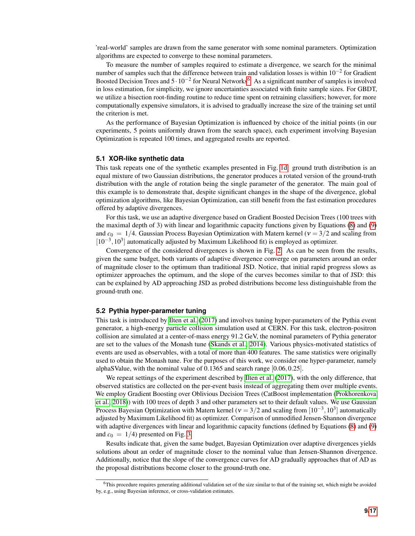'real-world' samples are drawn from the same generator with some nominal parameters. Optimization algorithms are expected to converge to these nominal parameters.

To measure the number of samples required to estimate a divergence, we search for the minimal number of samples such that the difference between train and validation losses is within  $10^{-2}$  for Gradient Boosted Decision Trees and  $5 \cdot 10^{-2}$  for Neural Networks<sup>[6](#page-8-0)</sup>. As a significant number of samples is involved in loss estimation, for simplicity, we ignore uncertainties associated with finite sample sizes. For GBDT, we utilize a bisection root-finding routine to reduce time spent on retraining classifiers; however, for more computationally expensive simulators, it is advised to gradually increase the size of the training set until the criterion is met.

As the performance of Bayesian Optimization is influenced by choice of the initial points (in our experiments, 5 points uniformly drawn from the search space), each experiment involving Bayesian Optimization is repeated 100 times, and aggregated results are reported.

#### **5.1 XOR-like synthetic data**

This task repeats one of the synthetic examples presented in Fig. [1d:](#page-5-0) ground truth distribution is an equal mixture of two Gaussian distributions, the generator produces a rotated version of the ground-truth distribution with the angle of rotation being the single parameter of the generator. The main goal of this example is to demonstrate that, despite significant changes in the shape of the divergence, global optimization algorithms, like Bayesian Optimization, can still benefit from the fast estimation procedures offered by adaptive divergences.

For this task, we use an adaptive divergence based on Gradient Boosted Decision Trees (100 trees with the maximal depth of 3) with linear and logarithmic capacity functions given by Equations [\(8\)](#page-6-3) and [\(9\)](#page-6-3) and  $c_0 = 1/4$ . Gaussian Process Bayesian Optimization with Matern kernel ( $v = 3/2$  and scaling from [10<sup>-3</sup>, 10<sup>3</sup>] automatically adjusted by Maximum Likelihood fit) is employed as optimizer.

Convergence of the considered divergences is shown in Fig. [2.](#page-9-0) As can be seen from the results, given the same budget, both variants of adaptive divergence converge on parameters around an order of magnitude closer to the optimum than traditional JSD. Notice, that initial rapid progress slows as optimizer approaches the optimum, and the slope of the curves becomes similar to that of JSD: this can be explained by AD approaching JSD as probed distributions become less distinguishable from the ground-truth one.

#### **5.2 Pythia hyper-parameter tuning**

This task is introduced by [Ilten et al.](#page-13-10) [\(2017\)](#page-13-10) and involves tuning hyper-parameters of the Pythia event generator, a high-energy particle collision simulation used at CERN. For this task, electron-positron collision are simulated at a center-of-mass energy 91.2 GeV, the nominal parameters of Pythia generator are set to the values of the Monash tune [\(Skands et al., 2014\)](#page-14-7). Various physics-motivated statistics of events are used as observables, with a total of more than 400 features. The same statistics were originally used to obtain the Monash tune. For the purposes of this work, we consider one hyper-parameter, namely alphaSValue, with the nominal value of 0.1365 and search range [0.06,0.25].

We repeat settings of the experiment described by [Ilten et al.](#page-13-10) [\(2017\)](#page-13-10), with the only difference, that observed statistics are collected on the per-event basis instead of aggregating them over multiple events. We employ Gradient Boosting over Oblivious Decision Trees (CatBoost implementation [\(Prokhorenkova](#page-13-15) [et al., 2018\)](#page-13-15)) with 100 trees of depth 3 and other parameters set to their default values. We use Gaussian Process Bayesian Optimization with Matern kernel ( $v = 3/2$  and scaling from  $[10^{-3}, 10^3]$  automatically adjusted by Maximum Likelihood fit) as optimizer. Comparison of unmodified Jensen-Shannon divergence with adaptive divergences with linear and logarithmic capacity functions (defined by Equations [\(8\)](#page-6-3) and [\(9\)](#page-6-3) and  $c_0 = 1/4$ ) presented on Fig. [3.](#page-10-0)

Results indicate that, given the same budget, Bayesian Optimization over adaptive divergences yields solutions about an order of magnitude closer to the nominal value than Jensen-Shannon divergence. Additionally, notice that the slope of the convergence curves for AD gradually approaches that of AD as the proposal distributions become closer to the ground-truth one.

<span id="page-8-0"></span> $6$ This procedure requires generating additional validation set of the size similar to that of the training set, which might be avoided by, e.g., using Bayesian inference, or cross-validation estimates.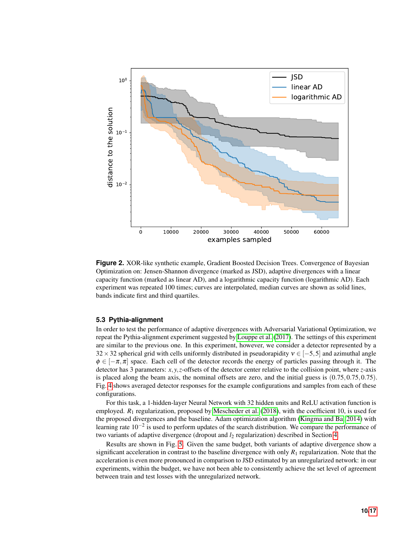<span id="page-9-0"></span>

**Figure 2.** XOR-like synthetic example, Gradient Boosted Decision Trees. Convergence of Bayesian Optimization on: Jensen-Shannon divergence (marked as JSD), adaptive divergences with a linear capacity function (marked as linear AD), and a logarithmic capacity function (logarithmic AD). Each experiment was repeated 100 times; curves are interpolated, median curves are shown as solid lines, bands indicate first and third quartiles.

#### <span id="page-9-1"></span>**5.3 Pythia-alignment**

In order to test the performance of adaptive divergences with Adversarial Variational Optimization, we repeat the Pythia-alignment experiment suggested by [Louppe et al.](#page-13-4) [\(2017\)](#page-13-4). The settings of this experiment are similar to the previous one. In this experiment, however, we consider a detector represented by a  $32 \times 32$  spherical grid with cells uniformly distributed in pseudorapidity  $v \in [-5,5]$  and azimuthal angle  $\phi \in [-\pi,\pi]$  space. Each cell of the detector records the energy of particles passing through it. The detector has 3 parameters: *x*, *y*,*z*-offsets of the detector center relative to the collision point, where *z*-axis is placed along the beam axis, the nominal offsets are zero, and the initial guess is  $(0.75, 0.75, 0.75)$ . Fig. [4](#page-11-0) shows averaged detector responses for the example configurations and samples from each of these configurations.

For this task, a 1-hidden-layer Neural Network with 32 hidden units and ReLU activation function is employed. *R*<sup>1</sup> regularization, proposed by [Mescheder et al.](#page-13-7) [\(2018\)](#page-13-7), with the coefficient 10, is used for the proposed divergences and the baseline. Adam optimization algorithm [\(Kingma and Ba, 2014\)](#page-13-16) with learning rate 10<sup>-2</sup> is used to perform updates of the search distribution. We compare the performance of two variants of adaptive divergence (dropout and  $l_2$  regularization) described in Section [4.](#page-4-0)

Results are shown in Fig. [5.](#page-12-0) Given the same budget, both variants of adaptive divergence show a significant acceleration in contrast to the baseline divergence with only  $R_1$  regularization. Note that the acceleration is even more pronounced in comparison to JSD estimated by an unregularized network: in our experiments, within the budget, we have not been able to consistently achieve the set level of agreement between train and test losses with the unregularized network.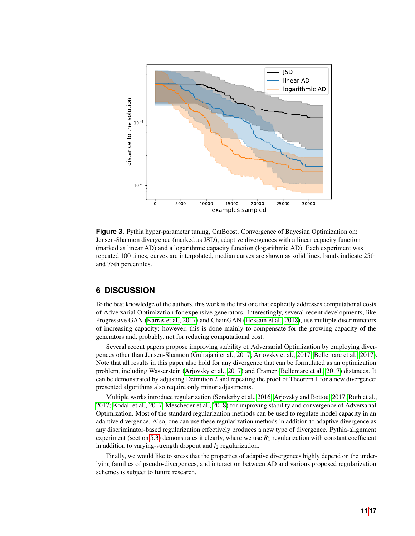<span id="page-10-0"></span>

**Figure 3.** Pythia hyper-parameter tuning, CatBoost. Convergence of Bayesian Optimization on: Jensen-Shannon divergence (marked as JSD), adaptive divergences with a linear capacity function (marked as linear AD) and a logarithmic capacity function (logarithmic AD). Each experiment was repeated 100 times, curves are interpolated, median curves are shown as solid lines, bands indicate 25th and 75th percentiles.

# **6 DISCUSSION**

To the best knowledge of the authors, this work is the first one that explicitly addresses computational costs of Adversarial Optimization for expensive generators. Interestingly, several recent developments, like Progressive GAN [\(Karras et al., 2017\)](#page-13-17) and ChainGAN [\(Hossain et al., 2018\)](#page-13-18), use multiple discriminators of increasing capacity; however, this is done mainly to compensate for the growing capacity of the generators and, probably, not for reducing computational cost.

Several recent papers propose improving stability of Adversarial Optimization by employing divergences other than Jensen-Shannon [\(Gulrajani et al., 2017;](#page-13-19) [Arjovsky et al., 2017;](#page-13-20) [Bellemare et al., 2017\)](#page-13-21). Note that all results in this paper also hold for any divergence that can be formulated as an optimization problem, including Wasserstein [\(Arjovsky et al., 2017\)](#page-13-20) and Cramer [\(Bellemare et al., 2017\)](#page-13-21) distances. It can be demonstrated by adjusting Definition 2 and repeating the proof of Theorem 1 for a new divergence; presented algorithms also require only minor adjustments.

Multiple works introduce regularization [\(Sønderby et al., 2016;](#page-14-8) [Arjovsky and Bottou, 2017;](#page-13-22) [Roth et al.,](#page-14-9) [2017;](#page-14-9) [Kodali et al., 2017;](#page-13-23) [Mescheder et al., 2018\)](#page-13-7) for improving stability and convergence of Adversarial Optimization. Most of the standard regularization methods can be used to regulate model capacity in an adaptive divergence. Also, one can use these regularization methods in addition to adaptive divergence as any discriminator-based regularization effectively produces a new type of divergence. Pythia-alignment experiment (section [5.3\)](#page-9-1) demonstrates it clearly, where we use  $R_1$  regularization with constant coefficient in addition to varying-strength dropout and  $l_2$  regularization.

Finally, we would like to stress that the properties of adaptive divergences highly depend on the underlying families of pseudo-divergences, and interaction between AD and various proposed regularization schemes is subject to future research.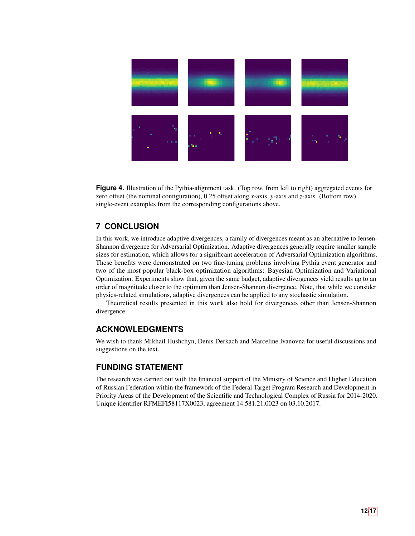<span id="page-11-0"></span>

**Figure 4.** Illustration of the Pythia-alignment task. (Top row, from left to right) aggregated events for zero offset (the nominal configuration), 0.25 offset along *x*-axis, *y*-axis and *z*-axis. (Bottom row) single-event examples from the corresponding configurations above.

# **7 CONCLUSION**

In this work, we introduce adaptive divergences, a family of divergences meant as an alternative to Jensen-Shannon divergence for Adversarial Optimization. Adaptive divergences generally require smaller sample sizes for estimation, which allows for a significant acceleration of Adversarial Optimization algorithms. These benefits were demonstrated on two fine-tuning problems involving Pythia event generator and two of the most popular black-box optimization algorithms: Bayesian Optimization and Variational Optimization. Experiments show that, given the same budget, adaptive divergences yield results up to an order of magnitude closer to the optimum than Jensen-Shannon divergence. Note, that while we consider physics-related simulations, adaptive divergences can be applied to any stochastic simulation.

Theoretical results presented in this work also hold for divergences other than Jensen-Shannon divergence.

# **ACKNOWLEDGMENTS**

We wish to thank Mikhail Hushchyn, Denis Derkach and Marceline Ivanovna for useful discussions and suggestions on the text.

# **FUNDING STATEMENT**

The research was carried out with the financial support of the Ministry of Science and Higher Education of Russian Federation within the framework of the Federal Target Program Research and Development in Priority Areas of the Development of the Scientific and Technological Complex of Russia for 2014-2020. Unique identifier RFMEFI58117X0023, agreement 14.581.21.0023 on 03.10.2017.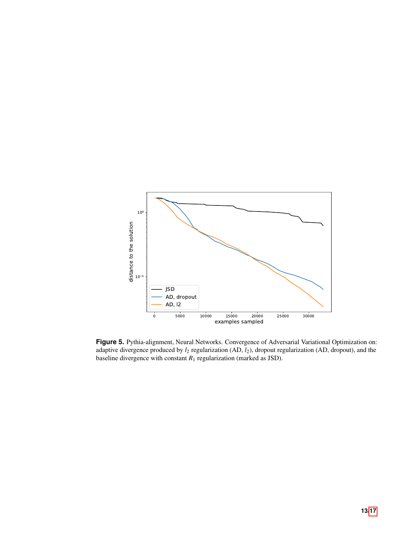<span id="page-12-0"></span>

**Figure 5.** Pythia-alignment, Neural Networks. Convergence of Adversarial Variational Optimization on: adaptive divergence produced by *l*<sup>2</sup> regularization (AD, *l*2), dropout regularization (AD, dropout), and the baseline divergence with constant  $R_1$  regularization (marked as JSD).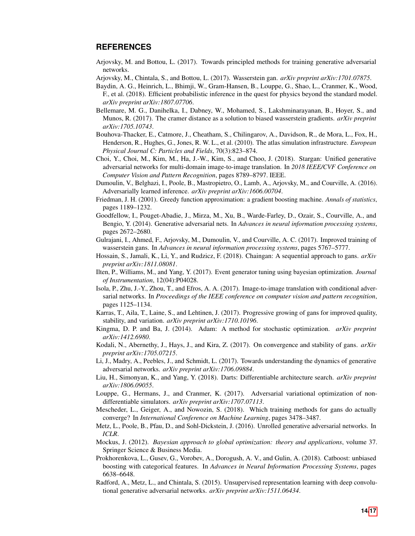## **REFERENCES**

- <span id="page-13-22"></span>Arjovsky, M. and Bottou, L. (2017). Towards principled methods for training generative adversarial networks.
- <span id="page-13-20"></span>Arjovsky, M., Chintala, S., and Bottou, L. (2017). Wasserstein gan. *arXiv preprint arXiv:1701.07875*.
- <span id="page-13-11"></span>Baydin, A. G., Heinrich, L., Bhimji, W., Gram-Hansen, B., Louppe, G., Shao, L., Cranmer, K., Wood, F., et al. (2018). Efficient probabilistic inference in the quest for physics beyond the standard model. *arXiv preprint arXiv:1807.07706*.
- <span id="page-13-21"></span>Bellemare, M. G., Danihelka, I., Dabney, W., Mohamed, S., Lakshminarayanan, B., Hoyer, S., and Munos, R. (2017). The cramer distance as a solution to biased wasserstein gradients. *arXiv preprint arXiv:1705.10743*.
- <span id="page-13-9"></span>Bouhova-Thacker, E., Catmore, J., Cheatham, S., Chilingarov, A., Davidson, R., de Mora, L., Fox, H., Henderson, R., Hughes, G., Jones, R. W. L., et al. (2010). The atlas simulation infrastructure. *European Physical Journal C: Particles and Fields*, 70(3):823–874.
- <span id="page-13-8"></span>Choi, Y., Choi, M., Kim, M., Ha, J.-W., Kim, S., and Choo, J. (2018). Stargan: Unified generative adversarial networks for multi-domain image-to-image translation. In *2018 IEEE/CVF Conference on Computer Vision and Pattern Recognition*, pages 8789–8797. IEEE.
- <span id="page-13-2"></span>Dumoulin, V., Belghazi, I., Poole, B., Mastropietro, O., Lamb, A., Arjovsky, M., and Courville, A. (2016). Adversarially learned inference. *arXiv preprint arXiv:1606.00704*.
- <span id="page-13-13"></span>Friedman, J. H. (2001). Greedy function approximation: a gradient boosting machine. *Annals of statistics*, pages 1189–1232.
- <span id="page-13-0"></span>Goodfellow, I., Pouget-Abadie, J., Mirza, M., Xu, B., Warde-Farley, D., Ozair, S., Courville, A., and Bengio, Y. (2014). Generative adversarial nets. In *Advances in neural information processing systems*, pages 2672–2680.
- <span id="page-13-19"></span>Gulrajani, I., Ahmed, F., Arjovsky, M., Dumoulin, V., and Courville, A. C. (2017). Improved training of wasserstein gans. In *Advances in neural information processing systems*, pages 5767–5777.
- <span id="page-13-18"></span>Hossain, S., Jamali, K., Li, Y., and Rudzicz, F. (2018). Chaingan: A sequential approach to gans. *arXiv preprint arXiv:1811.08081*.
- <span id="page-13-10"></span>Ilten, P., Williams, M., and Yang, Y. (2017). Event generator tuning using bayesian optimization. *Journal of Instrumentation*, 12(04):P04028.
- <span id="page-13-3"></span>Isola, P., Zhu, J.-Y., Zhou, T., and Efros, A. A. (2017). Image-to-image translation with conditional adversarial networks. In *Proceedings of the IEEE conference on computer vision and pattern recognition*, pages 1125–1134.
- <span id="page-13-17"></span>Karras, T., Aila, T., Laine, S., and Lehtinen, J. (2017). Progressive growing of gans for improved quality, stability, and variation. *arXiv preprint arXiv:1710.10196*.
- <span id="page-13-16"></span>Kingma, D. P. and Ba, J. (2014). Adam: A method for stochastic optimization. *arXiv preprint arXiv:1412.6980*.
- <span id="page-13-23"></span>Kodali, N., Abernethy, J., Hays, J., and Kira, Z. (2017). On convergence and stability of gans. *arXiv preprint arXiv:1705.07215*.
- <span id="page-13-6"></span>Li, J., Madry, A., Peebles, J., and Schmidt, L. (2017). Towards understanding the dynamics of generative adversarial networks. *arXiv preprint arXiv:1706.09884*.
- <span id="page-13-14"></span>Liu, H., Simonyan, K., and Yang, Y. (2018). Darts: Differentiable architecture search. *arXiv preprint arXiv:1806.09055*.
- <span id="page-13-4"></span>Louppe, G., Hermans, J., and Cranmer, K. (2017). Adversarial variational optimization of nondifferentiable simulators. *arXiv preprint arXiv:1707.07113*.
- <span id="page-13-7"></span>Mescheder, L., Geiger, A., and Nowozin, S. (2018). Which training methods for gans do actually converge? In *International Conference on Machine Learning*, pages 3478–3487.
- <span id="page-13-5"></span>Metz, L., Poole, B., Pfau, D., and Sohl-Dickstein, J. (2016). Unrolled generative adversarial networks. In *ICLR*.
- <span id="page-13-12"></span>Mockus, J. (2012). *Bayesian approach to global optimization: theory and applications*, volume 37. Springer Science & Business Media.
- <span id="page-13-15"></span>Prokhorenkova, L., Gusev, G., Vorobev, A., Dorogush, A. V., and Gulin, A. (2018). Catboost: unbiased boosting with categorical features. In *Advances in Neural Information Processing Systems*, pages 6638–6648.
- <span id="page-13-1"></span>Radford, A., Metz, L., and Chintala, S. (2015). Unsupervised representation learning with deep convolutional generative adversarial networks. *arXiv preprint arXiv:1511.06434*.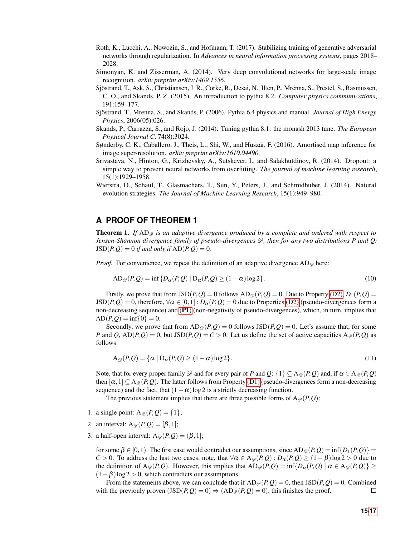- <span id="page-14-9"></span>Roth, K., Lucchi, A., Nowozin, S., and Hofmann, T. (2017). Stabilizing training of generative adversarial networks through regularization. In *Advances in neural information processing systems*, pages 2018– 2028.
- <span id="page-14-0"></span>Simonyan, K. and Zisserman, A. (2014). Very deep convolutional networks for large-scale image recognition. *arXiv preprint arXiv:1409.1556*.
- <span id="page-14-2"></span>Sjostrand, T., Ask, S., Christiansen, J. R., Corke, R., Desai, N., Ilten, P., Mrenna, S., Prestel, S., Rasmussen, ¨ C. O., and Skands, P. Z. (2015). An introduction to pythia 8.2. *Computer physics communications*, 191:159–177.
- <span id="page-14-1"></span>Sjostrand, T., Mrenna, S., and Skands, P. (2006). Pythia 6.4 physics and manual. ¨ *Journal of High Energy Physics*, 2006(05):026.
- <span id="page-14-7"></span>Skands, P., Carrazza, S., and Rojo, J. (2014). Tuning pythia 8.1: the monash 2013 tune. *The European Physical Journal C*, 74(8):3024.
- <span id="page-14-8"></span>Sønderby, C. K., Caballero, J., Theis, L., Shi, W., and Huszár, F. (2016). Amortised map inference for image super-resolution. *arXiv preprint arXiv:1610.04490*.
- <span id="page-14-6"></span>Srivastava, N., Hinton, G., Krizhevsky, A., Sutskever, I., and Salakhutdinov, R. (2014). Dropout: a simple way to prevent neural networks from overfitting. *The journal of machine learning research*, 15(1):1929–1958.
- <span id="page-14-3"></span>Wierstra, D., Schaul, T., Glasmachers, T., Sun, Y., Peters, J., and Schmidhuber, J. (2014). Natural evolution strategies. *The Journal of Machine Learning Research*, 15(1):949–980.

# <span id="page-14-5"></span>**A PROOF OF THEOREM 1**

<span id="page-14-4"></span>**Theorem 1.** If  $AD_{\mathscr{D}}$  is an adaptive divergence produced by a complete and ordered with respect to *Jensen-Shannon divergence family of pseudo-divergences* D*, then for any two distributions P and Q:*  $JSD(P, Q) = 0$  *if and only if*  $AD(P, Q) = 0$ *.* 

*Proof.* For convenience, we repeat the definition of an adaptive divergence  $AD_{\mathscr{D}}$  here:

$$
AD_{\mathscr{D}}(P,Q) = \inf \{ D_{\alpha}(P,Q) \mid D_{\alpha}(P,Q) \ge (1-\alpha)\log 2 \}.
$$
 (10)

Firstly, we prove that from  $JSD(P,Q) = 0$  follows  $AD_{\mathcal{D}}(P,Q) = 0$ . Due to Property [\(D2\),](#page-3-3)  $D_1(P,Q) =$  $JSD(P,Q) = 0$ , therefore,  $\forall \alpha \in [0,1]: D_{\alpha}(P,Q) = 0$  due to Properties [\(D2\)](#page-3-3) (pseudo-divergences form a non-decreasing sequence) and ([P1](#page-2-2)) (non-negativity of pseudo-divergences), which, in turn, implies that  $AD(P, Q) = inf\{0\} = 0.$ 

Secondly, we prove that from  $AD_{\mathcal{D}}(P,Q) = 0$  follows  $JSD(P,Q) = 0$ . Let's assume that, for some *P* and *Q*,  $AD(P,Q) = 0$ , but  $JSD(P,Q) = C > 0$ . Let us define the set of active capacities  $A_{\mathscr{D}}(P,Q)$  as follows:

$$
A_{\mathscr{D}}(P,Q) = \{ \alpha \mid D_{\alpha}(P,Q) \ge (1-\alpha)\log 2 \}.
$$
\n(11)

Note, that for every proper family  $\mathscr D$  and for every pair of *P* and *Q*: {1}  $\subseteq A_{\mathscr D}(P,Q)$  and, if  $\alpha \in A_{\mathscr D}(P,Q)$ then  $\alpha,1] \subseteq A_{\mathscr{D}}(P,Q)$ . The latter follows from Property [\(D1\)](#page-3-4) (pseudo-divergences form a non-decreasing sequence) and the fact, that  $(1 - \alpha) \log 2$  is a strictly decreasing function.

The previous statement implies that there are three possible forms of  $A_{\mathscr{D}}(P,Q)$ :

- 1. a single point:  $A_{\mathscr{D}}(P,Q) = \{1\};$
- 2. an interval:  $A_{\mathscr{D}}(P,Q) = [\beta,1];$
- 3. a half-open interval:  $A_{\mathscr{D}}(P,Q) = (\beta,1);$

for some  $β ∈ [0,1)$ . The first case would contradict our assumptions, since  $AD_{\mathscr{D}}(P,Q) = inf{D_1(P,Q)} =$ *C* > 0. To address the last two cases, note, that  $\forall \alpha \in A_{\mathscr{D}}(P,Q) : D_{\alpha}(P,Q) \geq (1-\beta)\log 2 > 0$  due to the definition of  $A_{\mathscr{D}}(P,Q)$ . However, this implies that  $AD_{\mathscr{D}}(P,Q) = \inf \{D_{\alpha}(P,Q) | \alpha \in A_{\mathscr{D}}(P,Q) \} \ge$  $(1 – \beta)$ log 2 > 0, which contradicts our assumptions.

From the statements above, we can conclude that if  $AD_{\mathcal{D}}(P,Q) = 0$ , then  $JSD(P,Q) = 0$ . Combined with the previouly proven  $\text{(JSD}(P, Q) = 0) \Rightarrow \text{(AD}_{\mathscr{D}}(P, Q) = 0)$ , this finishes the proof.  $\Box$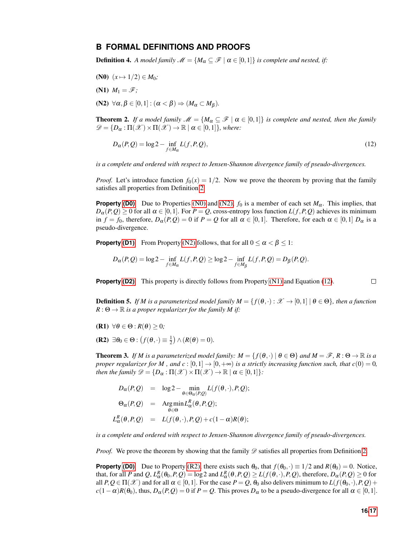### <span id="page-15-0"></span>**B FORMAL DEFINITIONS AND PROOFS**

**Definition 4.** *A model family*  $\mathcal{M} = \{M_{\alpha} \subseteq \mathcal{F} \mid \alpha \in [0,1]\}$  *is complete and nested, if:* 

- <span id="page-15-1"></span>(N0)  $(x \mapsto 1/2) \in M_0$ ;
- <span id="page-15-3"></span>(N1)  $M_1 = \mathscr{F}$ ;

<span id="page-15-2"></span>(N2)  $\forall \alpha, \beta \in [0,1] : (\alpha < \beta) \Rightarrow (M_{\alpha} \subset M_{\beta}).$ 

**Theorem 2.** *If a model family*  $\mathcal{M} = \{M_\alpha \subseteq \mathcal{F} \mid \alpha \in [0,1]\}$  *is complete and nested, then the family*  $\mathscr{D} = \{D_{\alpha} : \Pi(\mathscr{X}) \times \Pi(\mathscr{X}) \to \mathbb{R} \mid \alpha \in [0,1]\},$  where:

<span id="page-15-4"></span>
$$
D_{\alpha}(P,Q) = \log 2 - \inf_{f \in M_{\alpha}} L(f,P,Q),\tag{12}
$$

*is a complete and ordered with respect to Jensen-Shannon divergence family of pseudo-divergences.*

*Proof.* Let's introduce function  $f_0(x) = 1/2$ . Now we prove the theorem by proving that the family satisfies all properties from Definition [2.](#page-2-1)

**Property [\(D0\)](#page-3-5)** Due to Properties [\(N0\)](#page-15-1) and [\(N2\),](#page-15-2)  $f_0$  is a member of each set  $M_\alpha$ . This implies, that  $D_{\alpha}(P,Q) \ge 0$  for all  $\alpha \in [0,1]$ . For  $P = Q$ , cross-entropy loss function  $L(f,P,Q)$  achieves its minimum in  $f = f_0$ , therefore,  $D_\alpha(P,Q) = 0$  if  $P = Q$  for all  $\alpha \in [0,1]$ . Therefore, for each  $\alpha \in [0,1]$   $D_\alpha$  is a pseudo-divergence.

**Property [\(D1\)](#page-3-4)** From Property [\(N2\)](#page-15-2) follows, that for all  $0 \le \alpha < \beta \le 1$ :

$$
D_{\alpha}(P,Q) = \log 2 - \inf_{f \in M_{\alpha}} L(f,P,Q) \ge \log 2 - \inf_{f \in M_{\beta}} L(f,P,Q) = D_{\beta}(P,Q).
$$

**Property [\(D2\)](#page-3-3)** This property is directly follows from Property [\(N1\)](#page-15-3) and Equation [\(12\)](#page-15-4).

 $\Box$ 

**Definition 5.** *If M* is a parameterized model family  $M = \{f(\theta, \cdot) : \mathcal{X} \to [0,1] \mid \theta \in \Theta\}$ *, then a function*  $R: \Theta \to \mathbb{R}$  *is a proper regularizer for the family M if:* 

(R1)  $\forall \theta \in \Theta : R(\theta) \geq 0;$ 

<span id="page-15-5"></span>**(R2)**  $\exists \theta_0 \in \Theta : (f(\theta, \cdot) \equiv \frac{1}{2}) \wedge (R(\theta) = 0).$ 

**Theorem 3.** *If M is a parameterized model family:*  $M = \{f(\theta, \cdot) | \theta \in \Theta\}$  *and*  $M = \mathscr{F}, R : \Theta \to \mathbb{R}$  *is a proper regularizer for M*, and  $c : [0,1] \rightarrow [0,+\infty)$  *is a strictly increasing function such, that*  $c(0) = 0$ , *then the family*  $\mathcal{D} = \{D_{\alpha} : \Pi(\mathcal{X}) \times \Pi(\mathcal{X}) \to \mathbb{R} \mid \alpha \in [0,1]\}.$ 

$$
D_{\alpha}(P,Q) = \log 2 - \min_{\theta \in \Theta_{\alpha}(P,Q)} L(f(\theta,\cdot),P,Q);
$$
  
\n
$$
\Theta_{\alpha}(P,Q) = \operatorname{Argmin}_{\theta \in \Theta} L_{\alpha}^{R}(\theta, P,Q);
$$
  
\n
$$
L_{\alpha}^{R}(\theta, P,Q) = L(f(\theta,\cdot),P,Q) + c(1-\alpha)R(\theta);
$$

*is a complete and ordered with respect to Jensen-Shannon divergence family of pseudo-divergences.*

*Proof.* We prove the theorem by showing that the family  $\mathscr D$  satisfies all properties from Definition [2.](#page-2-1)

**Property [\(D0\)](#page-3-5)** Due to Property [\(R2\),](#page-15-5) there exists such  $\theta_0$ , that  $f(\theta_0, \cdot) \equiv 1/2$  and  $R(\theta_0) = 0$ . Notice, that, for all P and Q,  $L^R_\alpha(\theta_0, P, Q) = \log 2$  and  $L^R_\alpha(\theta, P, Q) \ge L(f(\theta, \cdot), P, Q)$ , therefore,  $D_\alpha(P, Q) \ge 0$  for all  $P, Q \in \Pi(\mathcal{X})$  and for all  $\alpha \in [0,1]$ . For the case  $P = Q, \theta_0$  also delivers minimum to  $L(f(\theta_0,\cdot),P,Q)$  +  $c(1-\alpha)R(\theta_0)$ , thus,  $D_{\alpha}(P,Q) = 0$  if  $P = Q$ . This proves  $D_{\alpha}$  to be a pseudo-divergence for all  $\alpha \in [0,1]$ .